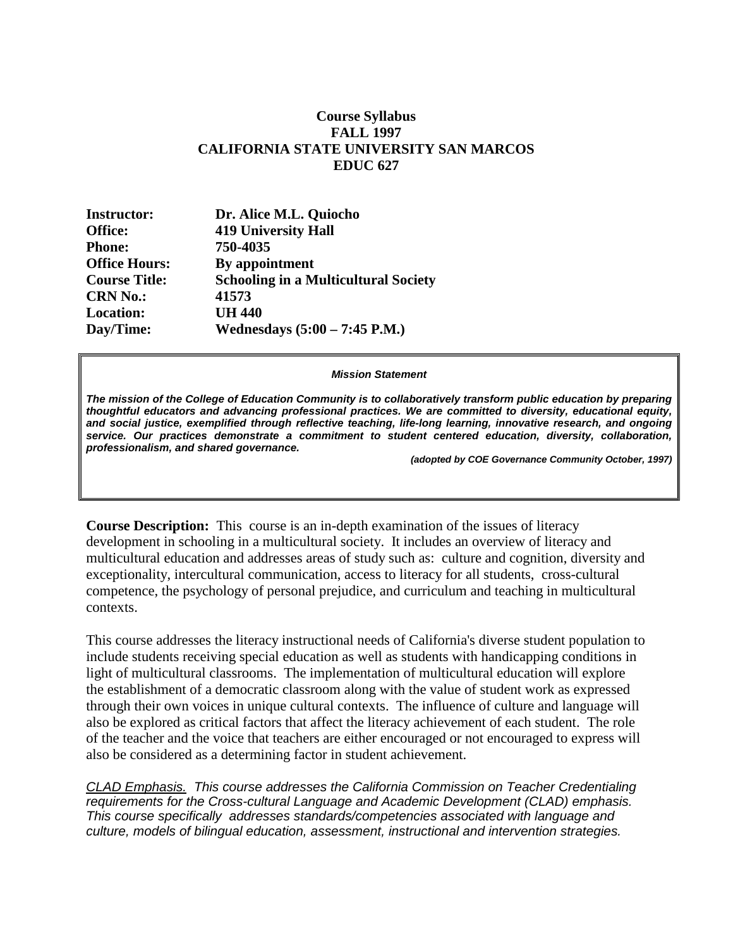## **Course Syllabus FALL 1997 CALIFORNIA STATE UNIVERSITY SAN MARCOS EDUC 627**

| Dr. Alice M.L. Quiocho                      |
|---------------------------------------------|
| <b>419 University Hall</b>                  |
| 750-4035                                    |
| By appointment                              |
| <b>Schooling in a Multicultural Society</b> |
| 41573                                       |
| <b>UH 440</b>                               |
| Wednesdays $(5:00 - 7:45)$ P.M.)            |
|                                             |

#### *Mission Statement*

*The mission of the College of Education Community is to collaboratively transform public education by preparing thoughtful educators and advancing professional practices. We are committed to diversity, educational equity, and social justice, exemplified through reflective teaching, life-long learning, innovative research, and ongoing service. Our practices demonstrate a commitment to student centered education, diversity, collaboration, professionalism, and shared governance.*

*(adopted by COE Governance Community October, 1997)*

**Course Description:** This course is an in-depth examination of the issues of literacy development in schooling in a multicultural society. It includes an overview of literacy and multicultural education and addresses areas of study such as: culture and cognition, diversity and exceptionality, intercultural communication, access to literacy for all students, cross-cultural competence, the psychology of personal prejudice, and curriculum and teaching in multicultural contexts.

This course addresses the literacy instructional needs of California's diverse student population to include students receiving special education as well as students with handicapping conditions in light of multicultural classrooms. The implementation of multicultural education will explore the establishment of a democratic classroom along with the value of student work as expressed through their own voices in unique cultural contexts. The influence of culture and language will also be explored as critical factors that affect the literacy achievement of each student. The role of the teacher and the voice that teachers are either encouraged or not encouraged to express will also be considered as a determining factor in student achievement.

*CLAD Emphasis. This course addresses the California Commission on Teacher Credentialing requirements for the Cross-cultural Language and Academic Development (CLAD) emphasis. This course specifically addresses standards/competencies associated with language and culture, models of bilingual education, assessment, instructional and intervention strategies.*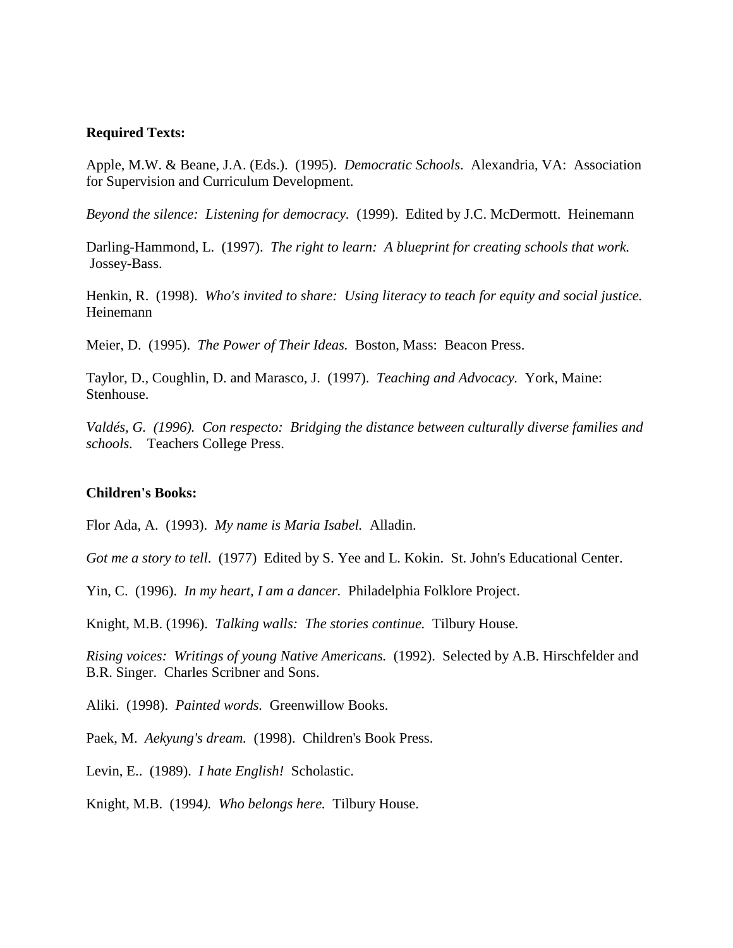### **Required Texts:**

Apple, M.W. & Beane, J.A. (Eds.). (1995). *Democratic Schools*. Alexandria, VA: Association for Supervision and Curriculum Development.

*Beyond the silence: Listening for democracy.* (1999). Edited by J.C. McDermott. Heinemann

Darling-Hammond, L. (1997). *The right to learn: A blueprint for creating schools that work.*  Jossey-Bass.

Henkin, R. (1998). *Who's invited to share: Using literacy to teach for equity and social justice.*  Heinemann

Meier, D. (1995). *The Power of Their Ideas.* Boston, Mass: Beacon Press.

Taylor, D., Coughlin, D. and Marasco, J. (1997). *Teaching and Advocacy.* York, Maine: Stenhouse.

*Valdés, G. (1996). Con respecto: Bridging the distance between culturally diverse families and schools.* Teachers College Press.

#### **Children's Books:**

Flor Ada, A. (1993). *My name is Maria Isabel.* Alladin.

*Got me a story to tell*. (1977) Edited by S. Yee and L. Kokin. St. John's Educational Center.

Yin, C. (1996). *In my heart, I am a dancer.* Philadelphia Folklore Project.

Knight, M.B. (1996). *Talking walls: The stories continue.* Tilbury House*.*

*Rising voices: Writings of young Native Americans.* (1992). Selected by A.B. Hirschfelder and B.R. Singer. Charles Scribner and Sons.

Aliki. (1998). *Painted words.* Greenwillow Books.

Paek, M. *Aekyung's dream.* (1998). Children's Book Press.

Levin, E.. (1989). *I hate English!* Scholastic.

Knight, M.B. (1994*). Who belongs here.* Tilbury House.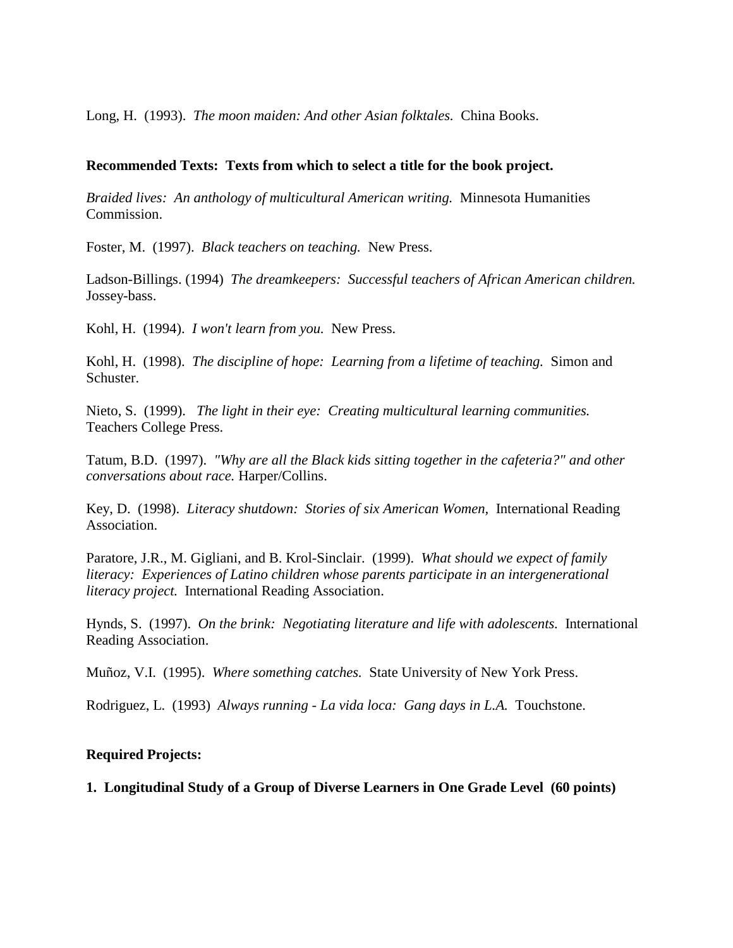Long, H. (1993). *The moon maiden: And other Asian folktales.* China Books.

## **Recommended Texts: Texts from which to select a title for the book project.**

*Braided lives: An anthology of multicultural American writing.* Minnesota Humanities Commission.

Foster, M. (1997). *Black teachers on teaching.* New Press.

Ladson-Billings. (1994) *The dreamkeepers: Successful teachers of African American children.*  Jossey-bass.

Kohl, H. (1994). *I won't learn from you.* New Press.

Kohl, H. (1998). *The discipline of hope: Learning from a lifetime of teaching.* Simon and Schuster.

Nieto, S. (1999). *The light in their eye: Creating multicultural learning communities.*  Teachers College Press.

Tatum, B.D. (1997). *"Why are all the Black kids sitting together in the cafeteria?" and other conversations about race.* Harper/Collins.

Key, D. (1998). *Literacy shutdown: Stories of six American Women,* International Reading Association.

Paratore, J.R., M. Gigliani, and B. Krol-Sinclair. (1999). *What should we expect of family literacy: Experiences of Latino children whose parents participate in an intergenerational literacy project.* International Reading Association.

Hynds, S. (1997). *On the brink: Negotiating literature and life with adolescents.* International Reading Association.

Muñoz, V.I. (1995). *Where something catches.* State University of New York Press.

Rodriguez, L. (1993) *Always running - La vida loca: Gang days in L.A.* Touchstone.

## **Required Projects:**

**1. Longitudinal Study of a Group of Diverse Learners in One Grade Level (60 points)**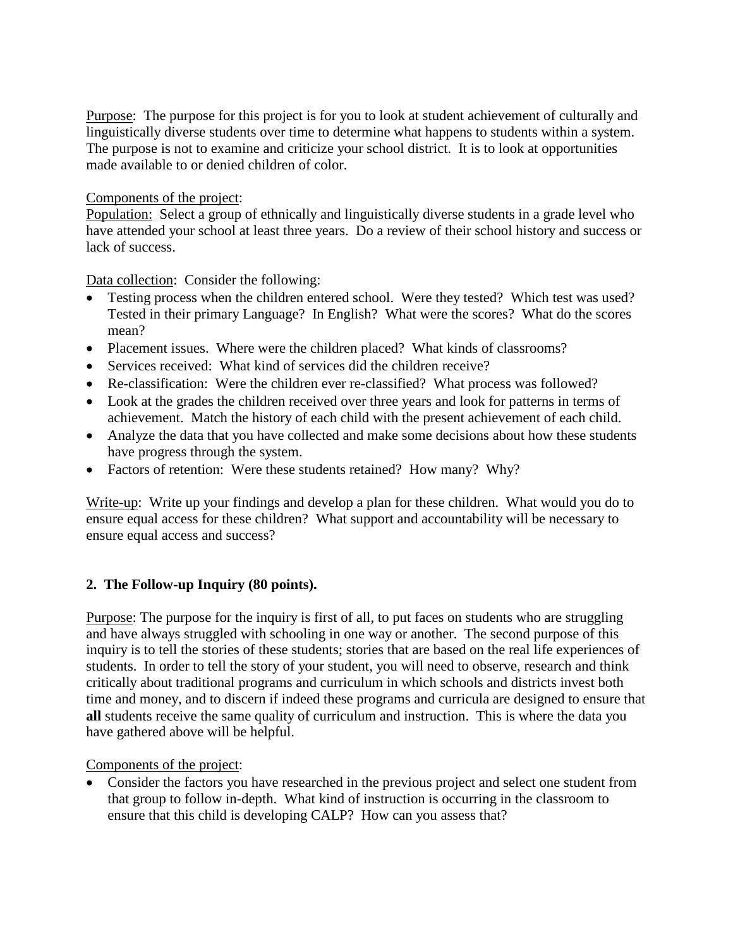Purpose: The purpose for this project is for you to look at student achievement of culturally and linguistically diverse students over time to determine what happens to students within a system. The purpose is not to examine and criticize your school district. It is to look at opportunities made available to or denied children of color.

## Components of the project:

Population: Select a group of ethnically and linguistically diverse students in a grade level who have attended your school at least three years. Do a review of their school history and success or lack of success.

Data collection: Consider the following:

- Testing process when the children entered school. Were they tested? Which test was used? Tested in their primary Language? In English? What were the scores? What do the scores mean?
- Placement issues. Where were the children placed? What kinds of classrooms?
- Services received: What kind of services did the children receive?
- Re-classification: Were the children ever re-classified? What process was followed?
- Look at the grades the children received over three years and look for patterns in terms of achievement. Match the history of each child with the present achievement of each child.
- Analyze the data that you have collected and make some decisions about how these students have progress through the system.
- Factors of retention: Were these students retained? How many? Why?

Write-up: Write up your findings and develop a plan for these children. What would you do to ensure equal access for these children? What support and accountability will be necessary to ensure equal access and success?

# **2. The Follow-up Inquiry (80 points).**

Purpose: The purpose for the inquiry is first of all, to put faces on students who are struggling and have always struggled with schooling in one way or another. The second purpose of this inquiry is to tell the stories of these students; stories that are based on the real life experiences of students. In order to tell the story of your student, you will need to observe, research and think critically about traditional programs and curriculum in which schools and districts invest both time and money, and to discern if indeed these programs and curricula are designed to ensure that **all** students receive the same quality of curriculum and instruction. This is where the data you have gathered above will be helpful.

Components of the project:

• Consider the factors you have researched in the previous project and select one student from that group to follow in-depth. What kind of instruction is occurring in the classroom to ensure that this child is developing CALP? How can you assess that?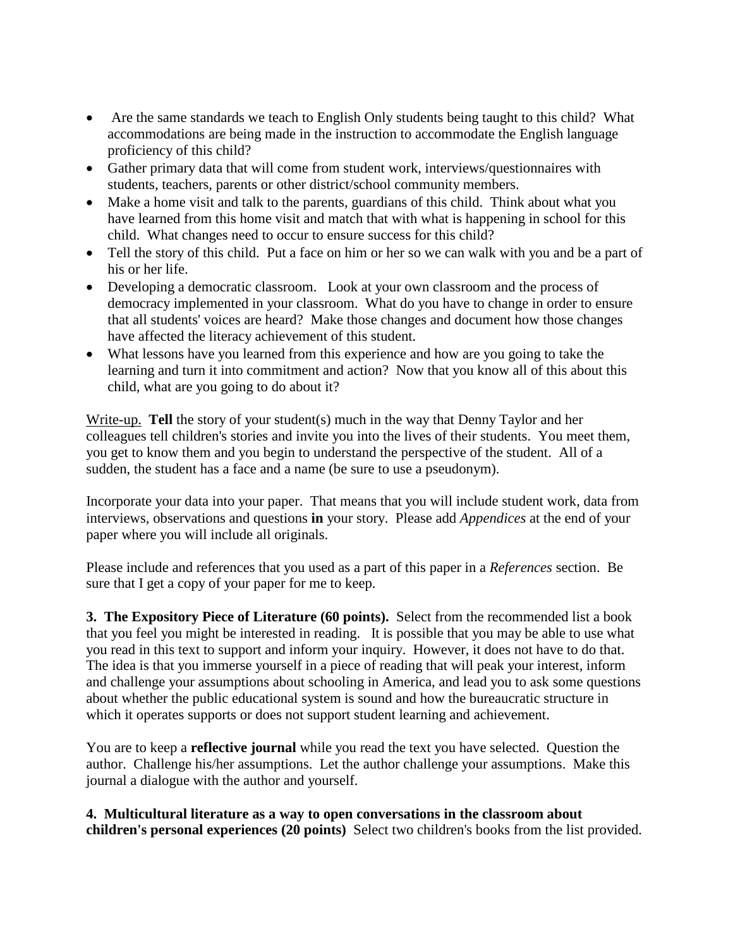- Are the same standards we teach to English Only students being taught to this child? What accommodations are being made in the instruction to accommodate the English language proficiency of this child?
- Gather primary data that will come from student work, interviews/questionnaires with students, teachers, parents or other district/school community members.
- Make a home visit and talk to the parents, guardians of this child. Think about what you have learned from this home visit and match that with what is happening in school for this child. What changes need to occur to ensure success for this child?
- Tell the story of this child. Put a face on him or her so we can walk with you and be a part of his or her life.
- Developing a democratic classroom. Look at your own classroom and the process of democracy implemented in your classroom. What do you have to change in order to ensure that all students' voices are heard? Make those changes and document how those changes have affected the literacy achievement of this student.
- What lessons have you learned from this experience and how are you going to take the learning and turn it into commitment and action? Now that you know all of this about this child, what are you going to do about it?

Write-up. **Tell** the story of your student(s) much in the way that Denny Taylor and her colleagues tell children's stories and invite you into the lives of their students. You meet them, you get to know them and you begin to understand the perspective of the student. All of a sudden, the student has a face and a name (be sure to use a pseudonym).

Incorporate your data into your paper. That means that you will include student work, data from interviews, observations and questions **in** your story. Please add *Appendices* at the end of your paper where you will include all originals.

Please include and references that you used as a part of this paper in a *References* section. Be sure that I get a copy of your paper for me to keep.

**3. The Expository Piece of Literature (60 points).** Select from the recommended list a book that you feel you might be interested in reading. It is possible that you may be able to use what you read in this text to support and inform your inquiry. However, it does not have to do that. The idea is that you immerse yourself in a piece of reading that will peak your interest, inform and challenge your assumptions about schooling in America, and lead you to ask some questions about whether the public educational system is sound and how the bureaucratic structure in which it operates supports or does not support student learning and achievement.

You are to keep a **reflective journal** while you read the text you have selected. Question the author. Challenge his/her assumptions. Let the author challenge your assumptions. Make this journal a dialogue with the author and yourself.

**4. Multicultural literature as a way to open conversations in the classroom about children's personal experiences (20 points)** Select two children's books from the list provided.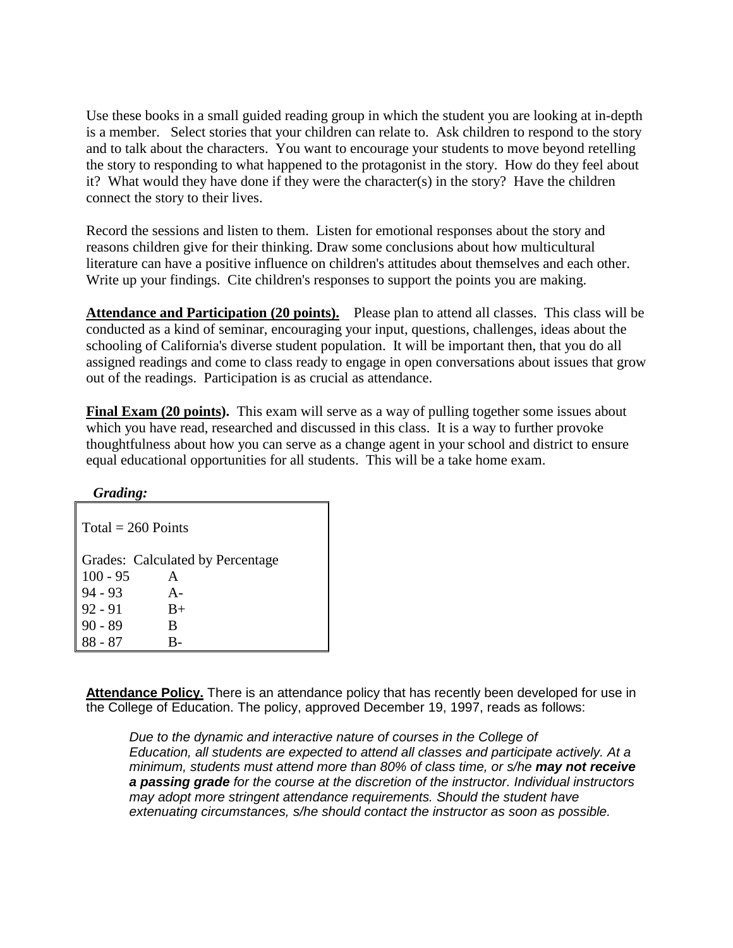Use these books in a small guided reading group in which the student you are looking at in-depth is a member. Select stories that your children can relate to. Ask children to respond to the story and to talk about the characters. You want to encourage your students to move beyond retelling the story to responding to what happened to the protagonist in the story. How do they feel about it? What would they have done if they were the character(s) in the story? Have the children connect the story to their lives.

Record the sessions and listen to them. Listen for emotional responses about the story and reasons children give for their thinking. Draw some conclusions about how multicultural literature can have a positive influence on children's attitudes about themselves and each other. Write up your findings. Cite children's responses to support the points you are making.

**Attendance and Participation (20 points).** Please plan to attend all classes. This class will be conducted as a kind of seminar, encouraging your input, questions, challenges, ideas about the schooling of California's diverse student population. It will be important then, that you do all assigned readings and come to class ready to engage in open conversations about issues that grow out of the readings. Participation is as crucial as attendance.

**Final Exam (20 points).** This exam will serve as a way of pulling together some issues about which you have read, researched and discussed in this class. It is a way to further provoke thoughtfulness about how you can serve as a change agent in your school and district to ensure equal educational opportunities for all students. This will be a take home exam.

| Grading:             |                                  |  |
|----------------------|----------------------------------|--|
| $Total = 260$ Points |                                  |  |
|                      | Grades: Calculated by Percentage |  |
| $100 - 95$           | A                                |  |
| $94 - 93$            | $A -$                            |  |
| $92 - 91$            | $B+$                             |  |
| $90 - 89$            | B                                |  |
| 88 - 87              |                                  |  |

**Attendance Policy.** There is an attendance policy that has recently been developed for use in the College of Education. The policy, approved December 19, 1997, reads as follows:

*Due to the dynamic and interactive nature of courses in the College of Education, all students are expected to attend all classes and participate actively. At a minimum, students must attend more than 80% of class time, or s/he may not receive a passing grade for the course at the discretion of the instructor. Individual instructors may adopt more stringent attendance requirements. Should the student have extenuating circumstances, s/he should contact the instructor as soon as possible.*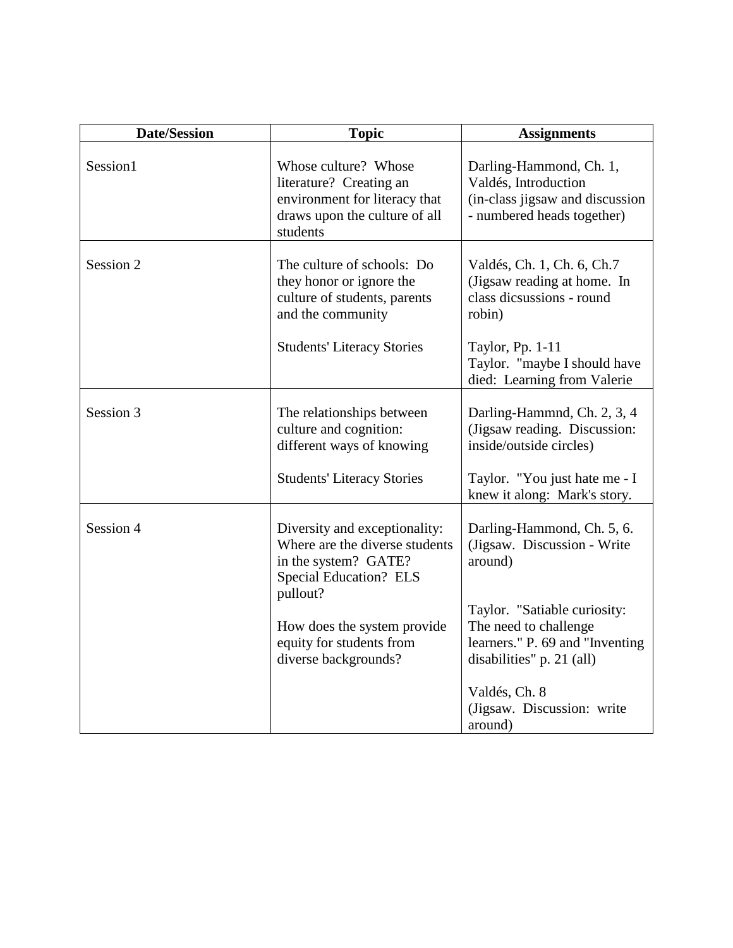| <b>Assignments</b>                                                                                                                                                                                                                           |
|----------------------------------------------------------------------------------------------------------------------------------------------------------------------------------------------------------------------------------------------|
| Darling-Hammond, Ch. 1,<br>Valdés, Introduction<br>(in-class jigsaw and discussion<br>- numbered heads together)                                                                                                                             |
| Valdés, Ch. 1, Ch. 6, Ch.7<br>(Jigsaw reading at home. In<br>class dicsussions - round<br>robin)<br>Taylor, Pp. 1-11<br>Taylor. "maybe I should have<br>died: Learning from Valerie                                                          |
| Darling-Hammnd, Ch. 2, 3, 4<br>(Jigsaw reading. Discussion:<br>inside/outside circles)<br>Taylor. "You just hate me - I<br>knew it along: Mark's story.                                                                                      |
| Darling-Hammond, Ch. 5, 6.<br>(Jigsaw. Discussion - Write<br>around)<br>Taylor. "Satiable curiosity:<br>The need to challenge<br>learners." P. 69 and "Inventing<br>disabilities" p. 21 (all)<br>Valdés, Ch. 8<br>(Jigsaw. Discussion: write |
| around)                                                                                                                                                                                                                                      |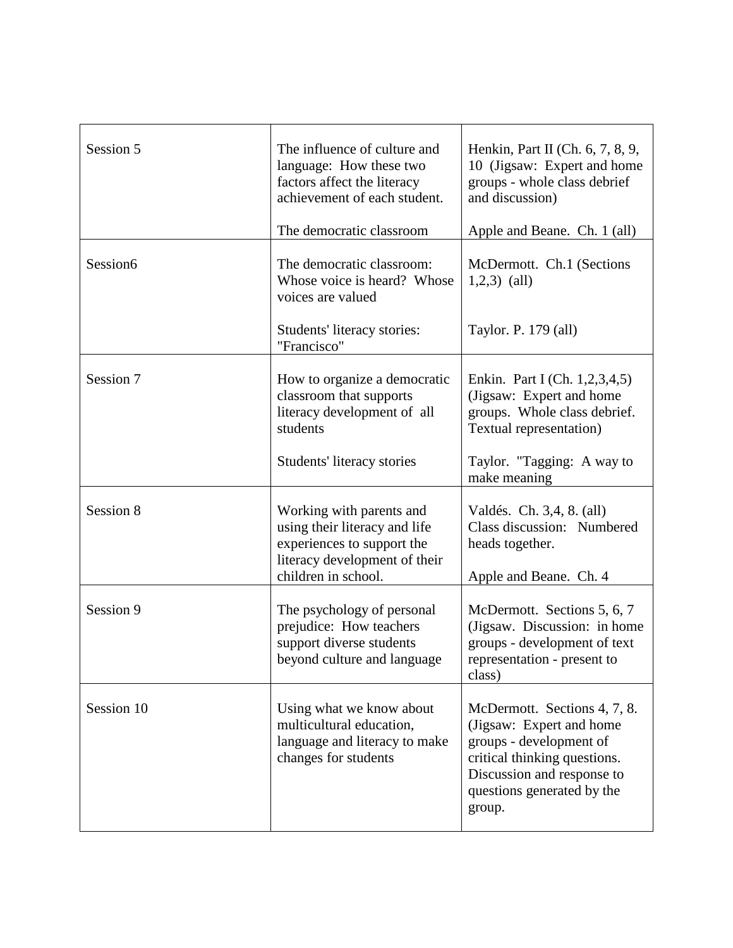| Session 5  | The influence of culture and<br>language: How these two<br>factors affect the literacy<br>achievement of each student.<br>The democratic classroom | Henkin, Part II (Ch. $6, 7, 8, 9$ ,<br>10 (Jigsaw: Expert and home<br>groups - whole class debrief<br>and discussion)<br>Apple and Beane. Ch. 1 (all)                                     |
|------------|----------------------------------------------------------------------------------------------------------------------------------------------------|-------------------------------------------------------------------------------------------------------------------------------------------------------------------------------------------|
| Session6   | The democratic classroom:<br>Whose voice is heard? Whose<br>voices are valued<br>Students' literacy stories:                                       | McDermott. Ch.1 (Sections<br>$1,2,3)$ (all)<br>Taylor. P. 179 (all)                                                                                                                       |
| Session 7  | "Francisco"<br>How to organize a democratic<br>classroom that supports<br>literacy development of all<br>students<br>Students' literacy stories    | Enkin. Part I (Ch. 1,2,3,4,5)<br>(Jigsaw: Expert and home<br>groups. Whole class debrief.<br>Textual representation)<br>Taylor. "Tagging: A way to<br>make meaning                        |
| Session 8  | Working with parents and<br>using their literacy and life<br>experiences to support the<br>literacy development of their<br>children in school.    | Valdés. Ch. 3,4, 8. (all)<br>Class discussion: Numbered<br>heads together.<br>Apple and Beane. Ch. 4                                                                                      |
| Session 9  | The psychology of personal<br>prejudice: How teachers<br>support diverse students<br>beyond culture and language                                   | McDermott. Sections 5, 6, 7<br>(Jigsaw. Discussion: in home<br>groups - development of text<br>representation - present to<br>class)                                                      |
| Session 10 | Using what we know about<br>multicultural education,<br>language and literacy to make<br>changes for students                                      | McDermott. Sections 4, 7, 8.<br>(Jigsaw: Expert and home<br>groups - development of<br>critical thinking questions.<br>Discussion and response to<br>questions generated by the<br>group. |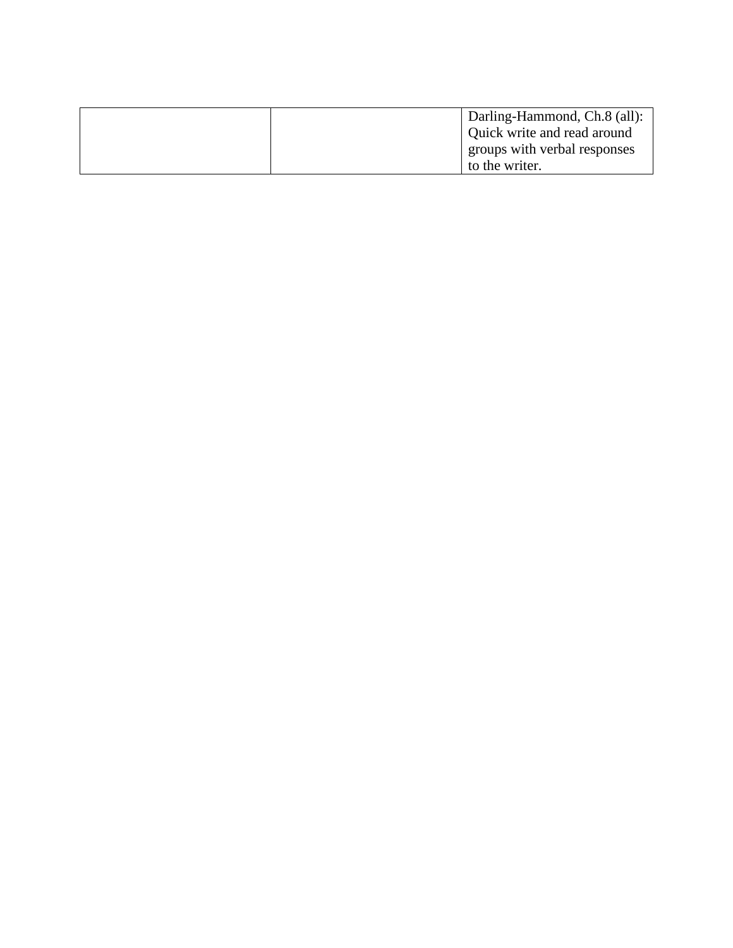| Darling-Hammond, Ch.8 (all): |
|------------------------------|
| Quick write and read around  |
| groups with verbal responses |
| to the writer.               |